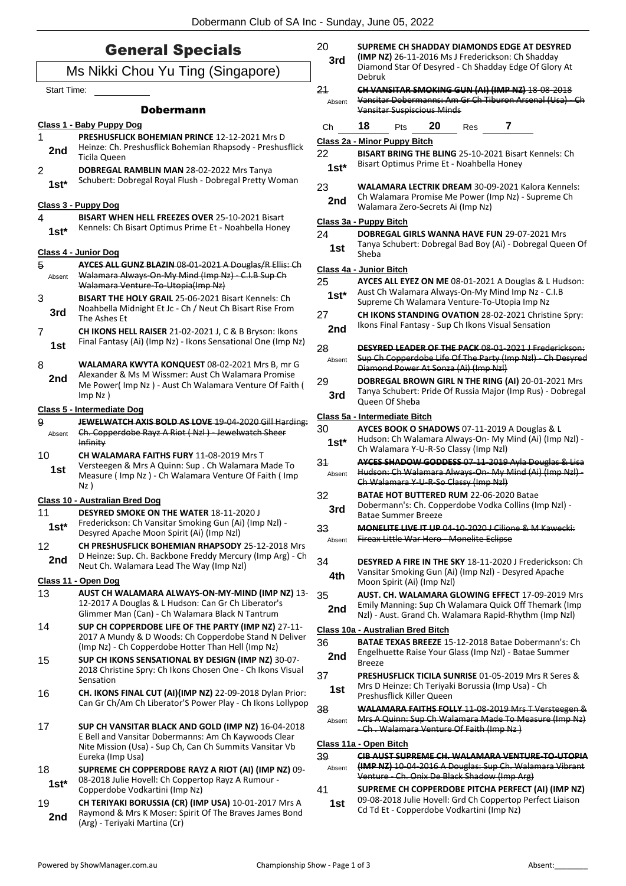### General Specials

#### Ms Nikki Chou Yu Ting (Singapore)

Start Time:

#### Dobermann

|              | Class 1 - Baby Puppy Dog                                                                                                                                                                  |
|--------------|-------------------------------------------------------------------------------------------------------------------------------------------------------------------------------------------|
| 1<br>2nd     | <b>PRESHUSFLICK BOHEMIAN PRINCE 12-12-2021 Mrs D</b><br>Heinze: Ch. Preshusflick Bohemian Rhapsody - Preshusflick<br>Ticila Queen                                                         |
| 2<br>1st*    | DOBREGAL RAMBLIN MAN 28-02-2022 Mrs Tanya<br>Schubert: Dobregal Royal Flush - Dobregal Pretty Woman                                                                                       |
|              | <u> Class 3 - Puppy Dog</u>                                                                                                                                                               |
| 4<br>$1st^*$ | <b>BISART WHEN HELL FREEZES OVER 25-10-2021 Bisart</b><br>Kennels: Ch Bisart Optimus Prime Et - Noahbella Honey                                                                           |
|              | Class 4 - Junior Dog                                                                                                                                                                      |
| 5<br>Absent  | AYCES ALL GUNZ BLAZIN 08 01 2021 A Douglas/R Ellis: Ch<br>Walamara Always-On-My Mind (Imp Nz) - C.I.B Sup Ch<br>Walamara Venture-To-Utopia(Imp Nz)                                        |
| 3<br>3rd     | <b>BISART THE HOLY GRAIL 25-06-2021 Bisart Kennels: Ch</b><br>Noahbella Midnight Et Jc - Ch / Neut Ch Bisart Rise From<br>The Ashes Et                                                    |
| 7<br>1st     | CH IKONS HELL RAISER 21-02-2021 J, C & B Bryson: Ikons<br>Final Fantasy (Ai) (Imp Nz) - Ikons Sensational One (Imp Nz)                                                                    |
| 8<br>2nd     | WALAMARA KWYTA KONQUEST 08-02-2021 Mrs B, mr G<br>Alexander & Ms M Wissmer: Aust Ch Walamara Promise<br>Me Power(Imp Nz) - Aust Ch Walamara Venture Of Faith (<br>Imp Nz)                 |
|              | <b>Class 5 - Intermediate Dog</b>                                                                                                                                                         |
| д<br>Absent  | JEWELWATCH AXIS BOLD AS LOVE 19-04-2020 Gill Harding:<br>Ch. Copperdobe Rayz A Riot (Nzl) Jewelwatch Sheer<br><b>Infinity</b>                                                             |
| 10<br>1st    | <b>CH WALAMARA FAITHS FURY 11-08-2019 Mrs T</b><br>Versteegen & Mrs A Quinn: Sup. Ch Walamara Made To<br>Measure (Imp Nz) - Ch Walamara Venture Of Faith (Imp<br>Nz)                      |
|              | <b>Class 10 - Australian Bred Dog</b>                                                                                                                                                     |
| 11<br>$1st*$ | <b>DESYRED SMOKE ON THE WATER 18-11-2020 J</b><br>Frederickson: Ch Vansitar Smoking Gun (Ai) (Imp Nzl) -<br>Desyred Apache Moon Spirit (Ai) (Imp Nzl)                                     |
| 12<br>2nd    | CH PRESHUSFLICK BOHEMIAN RHAPSODY 25-12-2018 Mrs<br>D Heinze: Sup. Ch. Backbone Freddy Mercury (Imp Arg) - Ch<br>Neut Ch. Walamara Lead The Way (Imp Nzl)                                 |
|              | Class 11 - Open Dog                                                                                                                                                                       |
| 13           | AUST CH WALAMARA ALWAYS-ON-MY-MIND (IMP NZ) 13-<br>12-2017 A Douglas & L Hudson: Can Gr Ch Liberator's<br>Glimmer Man (Can) - Ch Walamara Black N Tantrum                                 |
| 14           | SUP CH COPPERDOBE LIFE OF THE PARTY (IMP NZ) 27-11-<br>2017 A Mundy & D Woods: Ch Copperdobe Stand N Deliver<br>(Imp Nz) - Ch Copperdobe Hotter Than Hell (Imp Nz)                        |
| 15           | SUP CH IKONS SENSATIONAL BY DESIGN (IMP NZ) 30-07-<br>2018 Christine Spry: Ch Ikons Chosen One - Ch Ikons Visual<br>Sensation                                                             |
| 16           | CH. IKONS FINAL CUT (AI)(IMP NZ) 22-09-2018 Dylan Prior:<br>Can Gr Ch/Am Ch Liberator'S Power Play - Ch Ikons Lollypop                                                                    |
| 17           | SUP CH VANSITAR BLACK AND GOLD (IMP NZ) 16-04-2018<br>E Bell and Vansitar Dobermanns: Am Ch Kaywoods Clear<br>Nite Mission (Usa) - Sup Ch, Can Ch Summits Vansitar Vb<br>Eureka (Imp Usa) |
| 18<br>$1st*$ | SUPREME CH COPPERDOBE RAYZ A RIOT (AI) (IMP NZ) 09-<br>08-2018 Julie Hovell: Ch Coppertop Rayz A Rumour -<br>Copperdobe Vodkartini (Imp Nz)                                               |
|              |                                                                                                                                                                                           |

19 **CH TERIYAKI BORUSSIA (CR) (IMP USA)** 10-01-2017 Mrs A Raymond & Mrs K Moser: Spirit Of The Braves James Bond **2nd** Raymond & IVITS K MOSer: S<br>(Arg) - Teriyaki Martina (Cr)

| 20 | SUPREME CH SHADDAY DIAMONDS EDGE AT DESYRED |
|----|---------------------------------------------|
|----|---------------------------------------------|

**(IMP NZ)** 26-11-2016 Ms J Frederickson: Ch Shadday Diamond Star Of Desyred - Ch Shadday Edge Of Glory At Debruk **3rd**

- 21 **CH VANSITAR SMOKING GUN (AI) (IMP NZ)** 18-08-2018
	- Vansitar Dobermanns: Am Gr Ch Tiburon Arsenal (Usa) Ch Vansitar Suspiscious Minds Absent

Ch **18** Pts **20** Res **7**

#### **Class 2a - Minor Puppy Bitch**

22 **BISART BRING THE BLING** 25-10-2021 Bisart Kennels: Ch Bisart Optimus Prime Et - Noahbella Honey **1st\***

23 **WALAMARA LECTRIK DREAM** 30-09-2021 Kalora Kennels: Ch Walamara Promise Me Power (Imp Nz) - Supreme Ch **2nd** Ch Walamara Promise Me Power (I)<br>Walamara Zero-Secrets Ai (Imp Nz)

#### **Class 3a - Puppy Bitch**

24 **DOBREGAL GIRLS WANNA HAVE FUN** 29-07-2021 Mrs

Tanya Schubert: Dobregal Bad Boy (Ai) - Dobregal Queen Of **1st** <sup>lanya</sup>

#### **Class 4a - Junior Bitch**

- 25 **AYCES ALL EYEZ ON ME** 08-01-2021 A Douglas & L Hudson: Aust Ch Walamara Always-On-My Mind Imp Nz - C.I.B **1st**\* Aust Ch Walamara Always-On-My Mind Imp Nz - C<br>Supreme Ch Walamara Venture-To-Utopia Imp Nz
- 27 **CH IKONS STANDING OVATION** 28-02-2021 Christine Spry: 2nd **Ikons Final Fantasy - Sup Ch Ikons Visual Sensation**
- 28 **DESYRED LEADER OF THE PACK** 08-01-2021 J Frederickson: Sup Ch Copperdobe Life Of The Party (Imp Nzl) - Ch Desyred Diamond Power At Sonza (Ai) (Imp Nzl) Absent
- 29 **DOBREGAL BROWN GIRL N THE RING (AI)** 20-01-2021 Mrs Tanya Schubert: Pride Of Russia Major (Imp Rus) - Dobregal **3rd Dianya Schubert:**<br>Queen Of Sheba

#### **Class 5a - Intermediate Bitch**

| 30 | AYCES BOOK O SHADOWS 07-11-2019 A Douglas & L |
|----|-----------------------------------------------|
|    |                                               |

- Hudson: Ch Walamara Always-On- My Mind (Ai) (Imp Nzl) **1st**\* Hudson: Ch Walamara Always-On- My I<br>Ch Walamara Y-U-R-So Classy (Imp Nzl)
- 31 **AYCES SHADOW GODDESS** 07-11-2019 Ayla Douglas & Lisa Hudson: Ch Walamara Always-On- My Mind (Ai) (Imp Nzl) - Ch Walamara Y-U-R-So Classy (Imp Nzl) Absent
- 32 **BATAE HOT BUTTERED RUM** 22-06-2020 Batae Dobermann's: Ch. Copperdobe Vodka Collins (Imp Nzl) -
- **3rd** Dopermann St Cn. Cop<br>Batae Summer Breeze
- 33 **MONELITE LIVE IT UP** 04-10-2020 J Cilione & M Kawecki: Absent Fireax Little War Hero Monelite Eclipse
- 34 **DESYRED A FIRE IN THE SKY** 18-11-2020 J Frederickson: Ch Vansitar Smoking Gun (Ai) (Imp Nzl) - Desyred Apache **4th** Vansitar Smoking Gun (Al.<br>Moon Spirit (Ai) (Imp Nzl)
- 35 **AUST. CH. WALAMARA GLOWING EFFECT** 17-09-2019 Mrs Emily Manning: Sup Ch Walamara Quick Off Themark (Imp Nzl) - Aust. Grand Ch. Walamara Rapid-Rhythm (Imp Nzl) **2nd**

#### **Class 10a - Australian Bred Bitch**

- 36 **BATAE TEXAS BREEZE** 15-12-2018 Batae Dobermann's: Ch Engelhuette Raise Your Glass (Imp Nzl) - Batae Summer **2nd Breeze**
- 37 **PRESHUSFLICK TICILA SUNRISE** 01-05-2019 Mrs R Seres & Mrs D Heinze: Ch Teriyaki Borussia (Imp Usa) - Ch
- **1st** MITS D Heinze: Ch Teriyak<br>Preshusflick Killer Queen 38 **WALAMARA FAITHS FOLLY** 11-08-2019 Mrs T Versteegen &
- Mrs A Quinn: Sup Ch Walamara Made To Measure (Imp Nz) - Ch . Walamara Venture Of Faith (Imp Nz ) Absent

#### **Class 11a - Open Bitch**

39 **CIB AUST SUPREME CH. WALAMARA VENTURE-TO-UTOPIA (IMP NZ)** 10-04-2016 A Douglas: Sup Ch. Walamara Vibrant Venture - Ch. Onix De Black Shadow (Imp Arg) Absent

- 41 **SUPREME CH COPPERDOBE PITCHA PERFECT (AI) (IMP NZ)** 09-08-2018 Julie Hovell: Grd Ch Coppertop Perfect Liaison Cd Td Et - Copperdobe Vodkartini (Imp Nz) **1st**
	-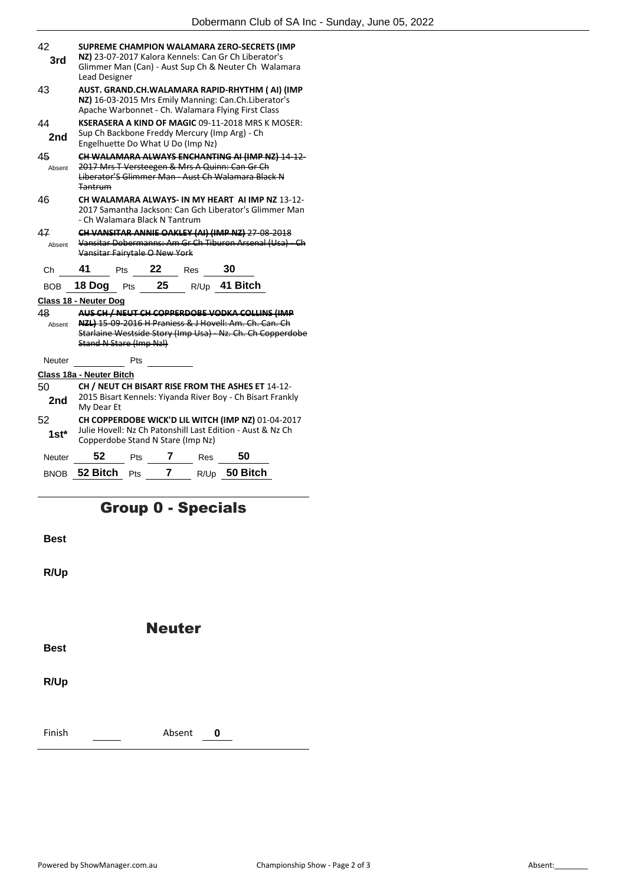| 42           |                                                                                                                                                                               |     |    |                                   | SUPREME CHAMPION WALAMARA ZERO-SECRETS (IMP                                                                        |  |  |  |
|--------------|-------------------------------------------------------------------------------------------------------------------------------------------------------------------------------|-----|----|-----------------------------------|--------------------------------------------------------------------------------------------------------------------|--|--|--|
| 3rd          | NZ) 23-07-2017 Kalora Kennels: Can Gr Ch Liberator's<br>Glimmer Man (Can) - Aust Sup Ch & Neuter Ch Walamara<br><b>Lead Designer</b>                                          |     |    |                                   |                                                                                                                    |  |  |  |
| 43           | AUST. GRAND.CH.WALAMARA RAPID-RHYTHM (AI) (IMP<br>NZ) 16-03-2015 Mrs Emily Manning: Can.Ch.Liberator's<br>Apache Warbonnet - Ch. Walamara Flying First Class                  |     |    |                                   |                                                                                                                    |  |  |  |
| 44<br>2nd    | KSERASERA A KIND OF MAGIC 09-11-2018 MRS K MOSER:<br>Sup Ch Backbone Freddy Mercury (Imp Arg) - Ch<br>Engelhuette Do What U Do (Imp Nz)                                       |     |    |                                   |                                                                                                                    |  |  |  |
| 45<br>Absent | CH WALAMARA ALWAYS ENCHANTING AI (IMP NZ) 14-12-<br>2017 Mrs T Versteegen & Mrs A Quinn: Can Gr Ch<br>Liberator'S Glimmer Man Aust Ch Walamara Black N<br><b>Tantrum</b>      |     |    |                                   |                                                                                                                    |  |  |  |
| 46           |                                                                                                                                                                               |     |    |                                   | CH WALAMARA ALWAYS- IN MY HEART AI IMP NZ 13-12-<br>2017 Samantha Jackson: Can Gch Liberator's Glimmer Man         |  |  |  |
| 47<br>Absent | - Ch Walamara Black N Tantrum<br>CH VANSITAR ANNIE OAKLEY (AI) (IMP NZ) 27-08-2018<br>Vansitar Dobermanns: Am Gr Ch Tiburon Arsenal (Usa) Ch<br>Vansitar Fairytale O New York |     |    |                                   |                                                                                                                    |  |  |  |
|              |                                                                                                                                                                               |     |    |                                   |                                                                                                                    |  |  |  |
| Ch           | 41                                                                                                                                                                            | Pts | 22 | Res                               | 30                                                                                                                 |  |  |  |
| <b>BOB</b>   | 18 Dog Pts                                                                                                                                                                    |     | 25 |                                   | R/Up 41 Bitch                                                                                                      |  |  |  |
|              | Class 18 - Neuter Dog                                                                                                                                                         |     |    |                                   |                                                                                                                    |  |  |  |
| 48           |                                                                                                                                                                               |     |    |                                   | AUS CH / NEUT CH COPPERDOBE VODKA COLLINS (IMP                                                                     |  |  |  |
| Absent       | Stand N Stare (Imp Nzl)                                                                                                                                                       |     |    |                                   | NZL) 15-09-2016 H Praniess & J Hovell: Am. Ch. Can. Ch<br>Starlaine Westside Story (Imp Usa) Nz. Ch. Ch Copperdobe |  |  |  |
| Neuter       |                                                                                                                                                                               | Pts |    |                                   |                                                                                                                    |  |  |  |
|              | Class 18a - Neuter Bitch                                                                                                                                                      |     |    |                                   |                                                                                                                    |  |  |  |
| 50           |                                                                                                                                                                               |     |    |                                   | CH / NEUT CH BISART RISE FROM THE ASHES ET 14-12-                                                                  |  |  |  |
| 2nd          | My Dear Et                                                                                                                                                                    |     |    |                                   | 2015 Bisart Kennels: Yiyanda River Boy - Ch Bisart Frankly                                                         |  |  |  |
| 52           |                                                                                                                                                                               |     |    |                                   | CH COPPERDOBE WICK'D LIL WITCH (IMP NZ) 01-04-2017                                                                 |  |  |  |
| $1st*$       |                                                                                                                                                                               |     |    | Copperdobe Stand N Stare (Imp Nz) | Julie Hovell: Nz Ch Patonshill Last Edition - Aust & Nz Ch                                                         |  |  |  |
| Neuter       | 52                                                                                                                                                                            | Pts | 7  | Res                               | 50                                                                                                                 |  |  |  |

## Group 0 - Specials

**Best**

**R/Up**

Neuter **Best R/Up** Finish Absent **0**